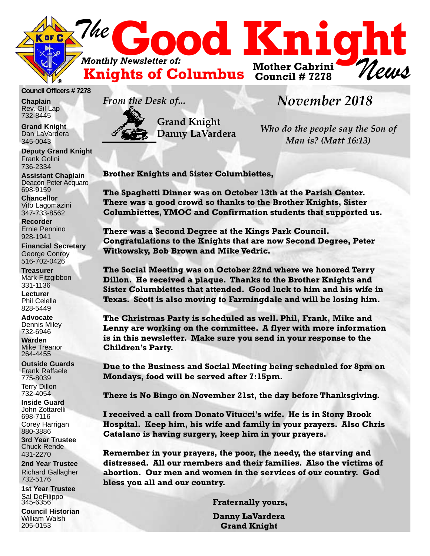

#### **Council Officers # 7278**

**Chaplain** Rev. Gil Lap 732-8445

**Grand Knight** Dan LaVardera 345-0043

**Deputy Grand Knight** Frank Golini 736-2334

**Assistant Chaplain** Deacon Peter Acquaro 698-9159

**Chancellor** Vito Lagomazini 347-733-8562

**Recorder** Ernie Pennino 928-1941

**Financial Secretary** George Conroy 516-702-0426

**Treasurer** Mark Fitzgibbon 331-1136

**Lecturer** Phil Celella 828-5449

**Advocate** Dennis Miley 732-6946

**Warden** Mike Treanor 264-4455

**Outside Guards** Frank Raffaele 775-8039 Terry Dillon 732-4054

**Inside Guard** John Zottarelli 698-7116 Corey Harrigan 880-3886

**3rd Year Trustee** Chuck Rende 431-2270

**2nd Year Trustee** Richard Gallagher 732-5176

**1st Year Trustee** Sal DeFilippo 345-6356

**Council Historian** William Walsh 205-0153





**Grand Knight Danny LaVardera**

# *November 2018*

*Who do the people say the Son of Man is? (Matt 16:13)*

**Brother Knights and Sister Columbiettes,**

**The Spaghetti Dinner was on October 13th at the Parish Center. There was a good crowd so thanks to the Brother Knights, Sister Columbiettes, YMOC and Confirmation students that supported us.**

**There was a Second Degree at the Kings Park Council. Congratulations to the Knights that are now Second Degree, Peter Witkowsky, Bob Brown and Mike Vedric.**

**The Social Meeting was on October 22nd where we honored Terry Dillon. He received a plaque. Thanks to the Brother Knights and Sister Columbiettes that attended. Good luck to him and his wife in Texas. Scott is also moving to Farmingdale and will be losing him.**

**The Christmas Party is scheduled as well. Phil, Frank, Mike and Lenny are working on the committee. A flyer with more information is in this newsletter. Make sure you send in your response to the Children's Party.**

**Due to the Business and Social Meeting being scheduled for 8pm on Mondays, food will be served after 7:15pm.**

**There is No Bingo on November 21st, the day before Thanksgiving.**

**I received a call from Donato Vitucci's wife. He is in Stony Brook Hospital. Keep him, his wife and family in your prayers. Also Chris Catalano is having surgery, keep him in your prayers.**

**Remember in your prayers, the poor, the needy, the starving and distressed. All our members and their families. Also the victims of abortion. Our men and women in the services of our country. God bless you all and our country.**

**Fraternally yours,**

**Danny LaVardera Grand Knight**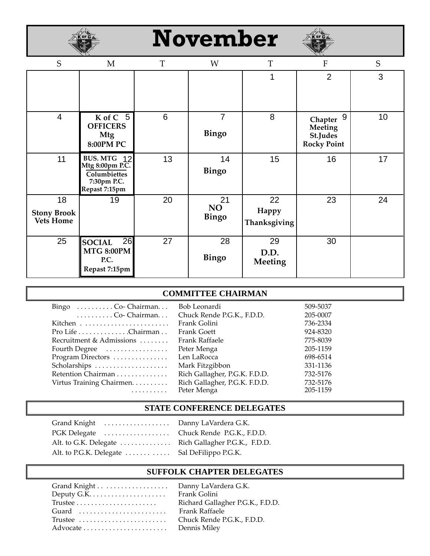

# **November**



| S                                     | M                                                                                               | T  | W                        | T                                  | ${\bf F}$                                                 | S  |
|---------------------------------------|-------------------------------------------------------------------------------------------------|----|--------------------------|------------------------------------|-----------------------------------------------------------|----|
|                                       |                                                                                                 |    |                          | 1                                  | $\overline{2}$                                            | 3  |
| $\overline{4}$                        | K of C 5<br><b>OFFICERS</b><br><b>Mtg</b><br><b>8:00PM PC</b>                                   | 6  | 7<br><b>Bingo</b>        | 8                                  | 9<br>Chapter<br>Meeting<br>St.Judes<br><b>Rocky Point</b> | 10 |
| 11                                    | <b>BUS. MTG</b><br>12<br>Mtg 8:00pm P.C.<br><b>Columbiettes</b><br>7:30pm P.C.<br>Repast 7:15pm | 13 | 14<br><b>Bingo</b>       | 15                                 | 16                                                        | 17 |
| 18<br><b>Stony Brook</b><br>Vets Home | $\overline{19}$                                                                                 | 20 | 21<br>NO<br><b>Bingo</b> | 22<br><b>Happy</b><br>Thanksgiving | 23                                                        | 24 |
| 25                                    | 26<br><b>SOCIAL</b><br><b>MTG 8:00PM</b><br>P.C.<br>Repast 7:15pm                               | 27 | 28<br><b>Bingo</b>       | 29<br>D.D.<br>Meeting              | 30                                                        |    |

#### **COMMITTEE CHAIRMAN**

| Bingo $\dots \dots \dots$ Co-Chairman         | Bob Leonardi                  | 509-5037 |
|-----------------------------------------------|-------------------------------|----------|
| $\ldots \ldots \ldots$ Co- Chairman.          | Chuck Rende P.G.K., F.D.D.    | 205-0007 |
|                                               | Frank Golini                  | 736-2334 |
| Pro Life $\dots \dots \dots \dots$ . Chairman | Frank Goett                   | 924-8320 |
| Recruitment & Admissions                      | Frank Raffaele                | 775-8039 |
| Fourth Degree                                 | Peter Menga                   | 205-1159 |
| Program Directors                             | Len LaRocca                   | 698-6514 |
| Scholarships                                  | Mark Fitzgibbon               | 331-1136 |
| Retention Chairman                            | Rich Gallagher, P.G.K. F.D.D. | 732-5176 |
| Virtus Training Chairmen.                     | Rich Gallagher, P.G.K. F.D.D. | 732-5176 |
| .                                             | Peter Menga                   | 205-1159 |

#### **STATE CONFERENCE DELEGATES**

| Grand Knight  Danny LaVardera G.K.                  |  |
|-----------------------------------------------------|--|
| PGK Delegate  Chuck Rende P.G.K., F.D.D.            |  |
| Alt. to G.K. Delegate Rich Gallagher P.G.K., F.D.D. |  |
| Alt. to P.G.K. Delegate Sal DeFilippo P.G.K.        |  |

#### **SUFFOLK CHAPTER DELEGATES**

|         | E |
|---------|---|
|         | F |
|         | R |
| Guard   | F |
| Trustee | C |
|         | E |

anny LaVardera G.K. rank Golini Richard Gallagher P.G.K., F.D.D. rank Raffaele<sup>r</sup> Thuck Rende P.G.K., F.D.D. ennis Miley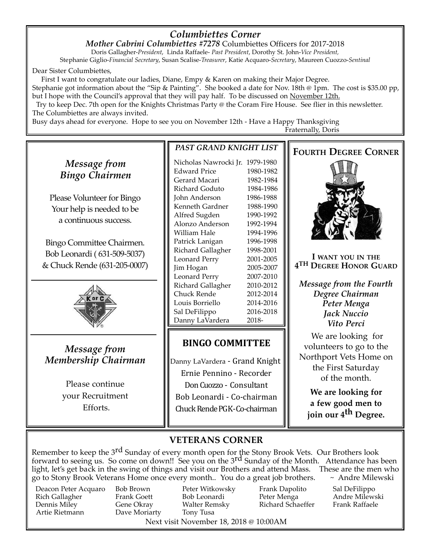## *Columbiettes Corner*

*Mother Cabrini Columbiettes #7278* Columbiettes Officers for 2017-2018 Doris Gallagher-*President*, Linda Raffaele- *Past President*, Dorothy St. John-*Vice President,* Stephanie Giglio-*Financial Secretary*, Susan Scalise-*Treasurer*, Katie Acquaro-*Secretary*, Maureen Cuozzo-*Sentinal*

Dear Sister Columbiettes,

First I want to congratulate our ladies, Diane, Empy & Karen on making their Major Degree. Stephanie got information about the "Sip & Painting". She booked a date for Nov. 18th @ 1pm. The cost is \$35.00 pp, but I hope with the Council's approval that they will pay half. To be discussed on November 12th.

Try to keep Dec. 7th open for the Knights Christmas Party @ the Coram Fire House. See flier in this newsletter. The Columbiettes are always invited.

Busy days ahead for everyone. Hope to see you on November 12th - Have a Happy Thanksgiving Fraternally, Doris

## *Message from Bingo Chairmen*

Please Volunteer for Bingo Your help is needed to be a continuous success.

Bingo Committee Chairmen. Bob Leonardi ( 631-509-5037) & Chuck Rende (631-205-0007)



*Message from Membership Chairman*

> Please continue your Recruitment Efforts.

#### *PAST GRAND KNIGHT LIST*

Nicholas Nawrocki Jr. 1979-1980 Edward Price 1980-1982 Gerard Macari 1982-1984 Richard Goduto 1984-1986 John Anderson 1986-1988 Kenneth Gardner 1988-1990 Alfred Sugden 1990-1992 Alonzo Anderson 1992-1994 William Hale 1994-1996 Patrick Lanigan 1996-1998 Richard Gallagher 1998-2001 Leonard Perry 2001-2005 Jim Hogan 2005-2007 Leonard Perry 2007-2010 Richard Gallagher 2010-2012 Chuck Rende 2012-2014 Louis Borriello 2014-2016 Sal DeFilippo 2016-2018 Danny LaVardera 2018-

#### **BINGO COMMITTEE**

Danny LaVardera - Grand Knight Ernie Pennino - Recorder Don Cuozzo - Consultant Bob Leonardi - Co-chairman Chuck RendePGK-Co-chairman

#### **FOURTH DEGREE CORNER**



**I WANT YOU IN THE 4TH DEGREE HONOR GUARD**

*Message from the Fourth Degree Chairman Peter Menga Jack Nuccio Vito Perci*

We are looking for volunteers to go to the Northport Vets Home on the First Saturday of the month.

**We are looking for a few good men to join our 4th Degree.**

### **VETERANS CORNER**

Remember to keep the 3<sup>rd</sup> Sunday of every month open for the Stony Brook Vets. Our Brothers look forward to seeing us. So come on down!! See you on the 3<sup>rd</sup> Sunday of the Month. Attendance has been light, let's get back in the swing of things and visit our Brothers and attend Mass. These are the men who go to Stony Brook Veterans Home once every month.. You do a great job brothers.  $\sim$  Andre Milewski go to Stony Brook Veterans Home once every month.. You do a great job brothers.

Rich Gallagher Frank Goett Bob Leonardi Peter Menga Andre Milewski Dennis Miley Gene Okray Walter Remsky Richard Schaeffer Frank Raffaele

Dave Moriarty

Deacon Peter Acquaro Bob Brown Peter Witkowsky Frank Dapolito Sal DeFilippo Next visit November 18, 2018 @ 10:00AM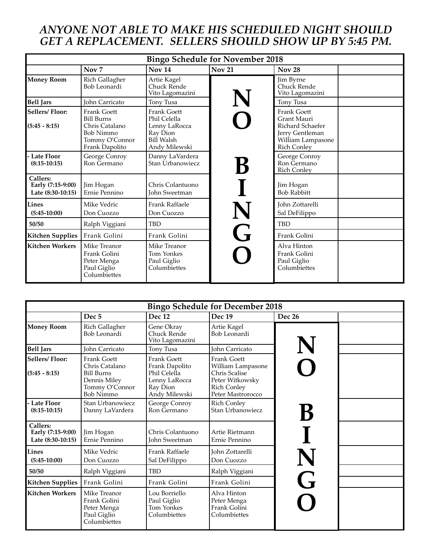## *ANYONE NOT ABLE TO MAKE HIS SCHEDULED NIGHT SHOULD GET A REPLACEMENT. SELLERS SHOULD SHOW UP BY 5:45 PM.*

| <b>Bingo Schedule for November 2018</b>            |                                                                                                            |                                                                                                |               |                                                                                                                     |  |
|----------------------------------------------------|------------------------------------------------------------------------------------------------------------|------------------------------------------------------------------------------------------------|---------------|---------------------------------------------------------------------------------------------------------------------|--|
|                                                    | Nov 7                                                                                                      | Nov 14                                                                                         | <b>Nov 21</b> | <b>Nov 28</b>                                                                                                       |  |
| <b>Money Room</b>                                  | Rich Gallagher<br>Bob Leonardi                                                                             | Artie Kagel<br>Chuck Rende<br>Vito Lagomazini                                                  |               | Jim Byrne<br>Chuck Rende<br>Vito Lagomazini                                                                         |  |
| <b>Bell Jars</b>                                   | John Carricato                                                                                             | Tony Tusa                                                                                      |               | Tony Tusa                                                                                                           |  |
| Sellers/Floor:<br>$(5:45 - 8:15)$                  | <b>Frank Goett</b><br><b>Bill Burns</b><br>Chris Catalano<br>Bob Nimmo<br>Tommy O'Connor<br>Frank Dapolito | <b>Frank Goett</b><br>Phil Celella<br>Lenny LaRocca<br>Ray Dion<br>Bill Walsh<br>Andy Milewski |               | <b>Frank Goett</b><br>Grant Mauri<br>Richard Schaefer<br>Jerry Gentleman<br>William Lampasone<br><b>Rich Conley</b> |  |
| <b>Late Floor</b><br>$(8:15-10:15)$                | George Conroy<br>Ron Germano                                                                               | Danny LaVardera<br>Stan Urbanowiecz                                                            | В             | George Conroy<br>Ron Germano<br><b>Rich Conley</b>                                                                  |  |
| Callers:<br>Early (7:15-9:00)<br>Late (8:30-10:15) | Jim Hogan<br>Ernie Pennino                                                                                 | Chris Colantuono<br>John Sweetman                                                              |               | Jim Hogan<br><b>Bob Rabbitt</b>                                                                                     |  |
| Lines<br>$(5:45-10:00)$                            | Mike Vedric<br>Don Cuozzo                                                                                  | Frank Raffaele<br>Don Cuozzo                                                                   |               | John Zottarelli<br>Sal DeFilippo                                                                                    |  |
| 50/50                                              | Ralph Viggiani                                                                                             | <b>TBD</b>                                                                                     |               | <b>TBD</b>                                                                                                          |  |
| Kitchen Supplies                                   | Frank Golini                                                                                               | Frank Golini                                                                                   | G             | Frank Golini                                                                                                        |  |
| <b>Kitchen Workers</b>                             | Mike Treanor<br>Frank Golini<br>Peter Menga<br>Paul Giglio<br>Columbiettes                                 | Mike Treanor<br>Tom Yonkes<br>Paul Giglio<br>Columbiettes                                      |               | Alva Hinton<br>Frank Golini<br>Paul Giglio<br>Columbiettes                                                          |  |

| <b>Bingo Schedule for December 2018</b>            |                                                                                                   |                                                                                             |                                                                                                                        |               |  |
|----------------------------------------------------|---------------------------------------------------------------------------------------------------|---------------------------------------------------------------------------------------------|------------------------------------------------------------------------------------------------------------------------|---------------|--|
|                                                    | Dec <sub>5</sub>                                                                                  | Dec <sub>12</sub>                                                                           | Dec 19                                                                                                                 | <b>Dec 26</b> |  |
| <b>Money Room</b>                                  | Rich Gallagher<br>Bob Leonardi                                                                    | Gene Okray<br>Chuck Rende<br>Vito Lagomazini                                                | Artie Kagel<br>Bob Leonardi                                                                                            |               |  |
| <b>Bell Jars</b>                                   | John Carricato                                                                                    | Tony Tusa                                                                                   | <b>John Carricato</b>                                                                                                  |               |  |
| Sellers/Floor:<br>$(5:45 - 8:15)$                  | Frank Goett<br>Chris Catalano<br><b>Bill Burns</b><br>Dennis Miley<br>Tommy O'Connor<br>Bob Nimmo | Frank Goett<br>Frank Dapolito<br>Phil Celella<br>Lenny LaRocca<br>Ray Dion<br>Andy Milewski | <b>Frank Goett</b><br>William Lampasone<br>Chris Scalise<br>Peter Witkowsky<br><b>Rich Conley</b><br>Peter Mastrorocco |               |  |
| - Late Floor<br>$(8:15-10:15)$                     | Stan Urbanowiecz<br>Danny LaVardera                                                               | George Conroy<br>Ron Germano                                                                | <b>Rich Conley</b><br>Stan Urbanowiecz                                                                                 | В             |  |
| Callers:<br>Early (7:15-9:00)<br>Late (8:30-10:15) | Jim Hogan<br>Ernie Pennino                                                                        | Chris Colantuono<br>John Sweetman                                                           | Artie Rietmann<br>Ernie Pennino                                                                                        |               |  |
| <b>Lines</b><br>$(5:45-10:00)$                     | Mike Vedric<br>Don Cuozzo                                                                         | Frank Raffaele<br>Sal DeFilippo                                                             | <b>John Zottarelli</b><br>Don Cuozzo                                                                                   |               |  |
| 50/50                                              | Ralph Viggiani                                                                                    | <b>TBD</b>                                                                                  | Ralph Viggiani                                                                                                         |               |  |
| <b>Kitchen Supplies</b>                            | Frank Golini                                                                                      | Frank Golini                                                                                | Frank Golini                                                                                                           | G             |  |
| <b>Kitchen Workers</b>                             | Mike Treanor<br>Frank Golini<br>Peter Menga<br>Paul Giglio<br>Columbiettes                        | Lou Borriello<br>Paul Giglio<br><b>Tom Yonkes</b><br>Columbiettes                           | Alva Hinton<br>Peter Menga<br>Frank Golini<br>Columbiettes                                                             |               |  |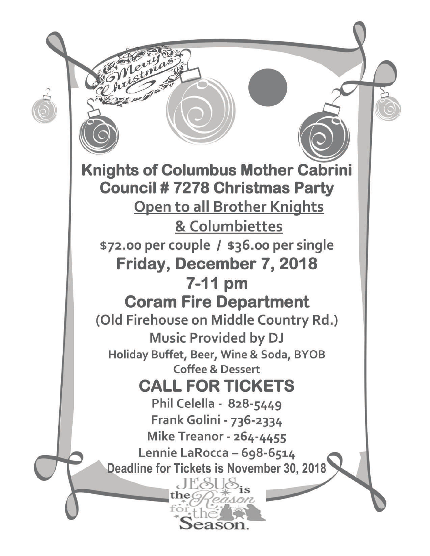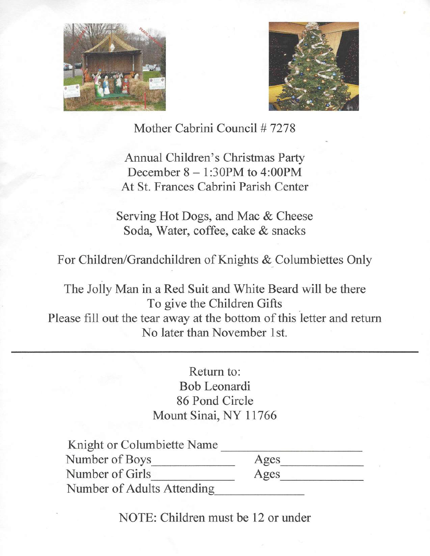



Mother Cabrini Council # 7278

Annual Children's Christmas Party December  $8 - 1:30$ PM to  $4:00$ PM At St. Frances Cabrini Parish Center

Serving Hot Dogs, and Mac & Cheese Soda, Water, coffee, cake & snacks

For Children/Grandchildren of Knights & Columbiettes Only

The Jolly Man in a Red Suit and White Beard will be there To give the Children Gifts Please fill out the tear away at the bottom of this letter and return No later than November 1st.

> Return to: Bob Leonardi 86 Pond Circle Mount Sinai, NY 11766

| Knight or Columbiette Name |      |  |
|----------------------------|------|--|
| Number of Boys             | Ages |  |
| Number of Girls            | Ages |  |
| Number of Adults Attending |      |  |

NOTE: Children must be 12 or under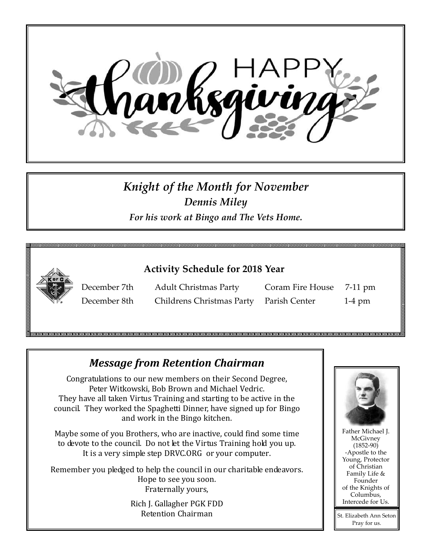

# *Knight of the Month for November Dennis Miley For his work at Bingo and The Vets Home.*





December 7th Adult Christmas Party Coram Fire House 7-11 pm December 8th Childrens Christmas Party Parish Center 1-4 pm

## *Message from Retention Chairman*

Congratulations to our new members on their Second Degree, Peter Witkowski, Bob Brown and Michael Vedric. They have all taken Virtus Training and starting to be active in the council. They worked the Spaghetti Dinner, have signed up for Bingo and work in the Bingo kitchen.

Maybe some of you Brothers, who are inactive, could find some time to devote to the council. Do not let the Virtus Training hold you up. It is a very simple step DRVC.ORG or your computer.

Remember you pledged to help the council in our charitable endeavors. Hope to see you soon. Fraternally yours,

> Rich J. Gallagher PGK FDD Retention Chairman  $\|\|_{\text{St. Elizabeth Ann Seton}}$

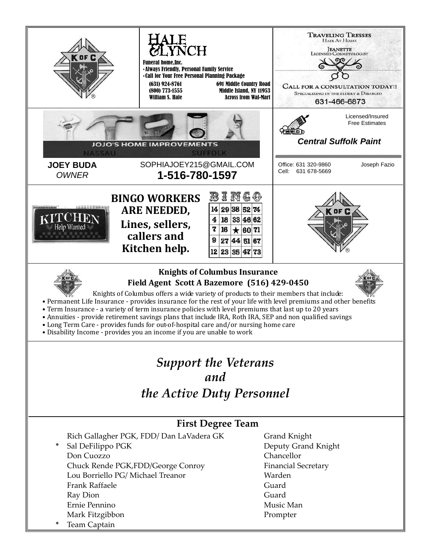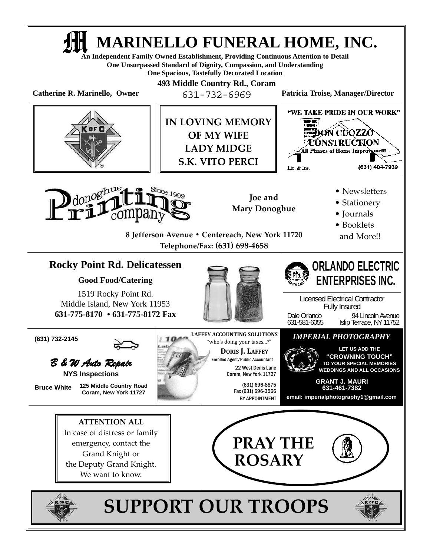